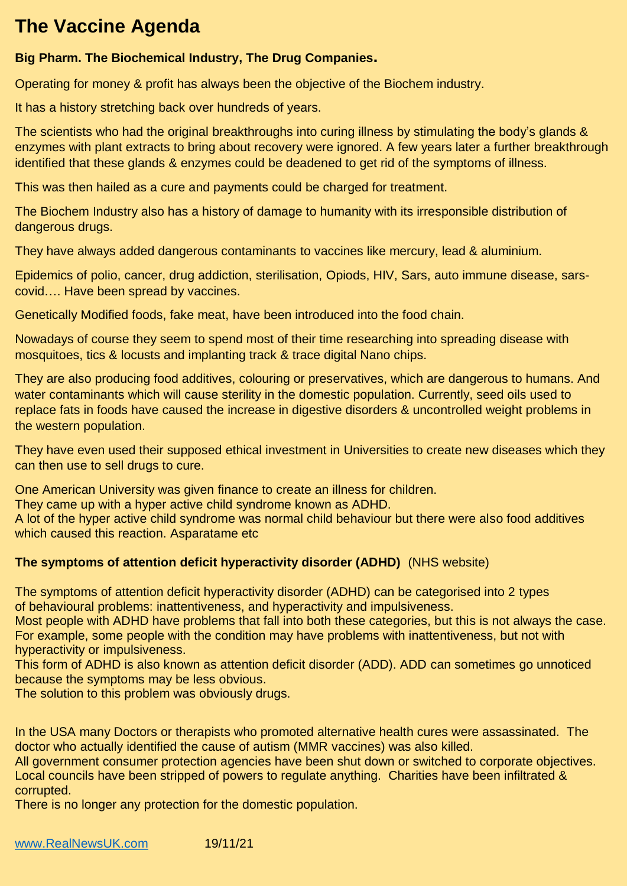## **The Vaccine Agenda**

## **Big Pharm. The Biochemical Industry, The Drug Companies.**

Operating for money & profit has always been the objective of the Biochem industry.

It has a history stretching back over hundreds of years.

The scientists who had the original breakthroughs into curing illness by stimulating the body's glands & enzymes with plant extracts to bring about recovery were ignored. A few years later a further breakthrough identified that these glands & enzymes could be deadened to get rid of the symptoms of illness.

This was then hailed as a cure and payments could be charged for treatment.

The Biochem Industry also has a history of damage to humanity with its irresponsible distribution of dangerous drugs.

They have always added dangerous contaminants to vaccines like mercury, lead & aluminium.

Epidemics of polio, cancer, drug addiction, sterilisation, Opiods, HIV, Sars, auto immune disease, sarscovid…. Have been spread by vaccines.

Genetically Modified foods, fake meat, have been introduced into the food chain.

Nowadays of course they seem to spend most of their time researching into spreading disease with mosquitoes, tics & locusts and implanting track & trace digital Nano chips.

They are also producing food additives, colouring or preservatives, which are dangerous to humans. And water contaminants which will cause sterility in the domestic population. Currently, seed oils used to replace fats in foods have caused the increase in digestive disorders & uncontrolled weight problems in the western population.

They have even used their supposed ethical investment in Universities to create new diseases which they can then use to sell drugs to cure.

One American University was given finance to create an illness for children.

They came up with a hyper active child syndrome known as ADHD.

A lot of the hyper active child syndrome was normal child behaviour but there were also food additives which caused this reaction. Asparatame etc

## **The symptoms of attention deficit hyperactivity disorder (ADHD)** (NHS website)

The symptoms of attention deficit hyperactivity disorder (ADHD) can be categorised into 2 types of behavioural problems: inattentiveness, and hyperactivity and impulsiveness.

Most people with ADHD have problems that fall into both these categories, but this is not always the case. For example, some people with the condition may have problems with inattentiveness, but not with hyperactivity or impulsiveness.

This form of ADHD is also known as attention deficit disorder (ADD). ADD can sometimes go unnoticed because the symptoms may be less obvious.

The solution to this problem was obviously drugs.

In the USA many Doctors or therapists who promoted alternative health cures were assassinated. The doctor who actually identified the cause of autism (MMR vaccines) was also killed.

All government consumer protection agencies have been shut down or switched to corporate objectives. Local councils have been stripped of powers to regulate anything. Charities have been infiltrated & corrupted.

There is no longer any protection for the domestic population.